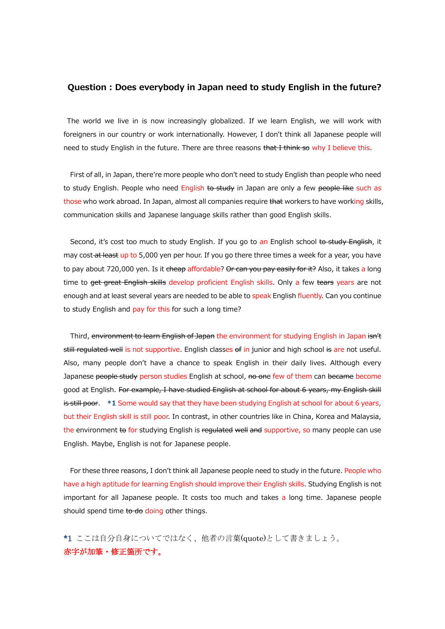## Question : Does everybody in Japan need to study English in the future?

The world we live in is now increasingly globalized. If we learn English, we will work with foreigners in our country or work internationally. However, I don't think all Japanese people will need to study English in the future. There are three reasons that I think so why I believe this.

 First of all, in Japan, there're more people who don't need to study English than people who need to study English. People who need English to study in Japan are only a few people like such as those who work abroad. In Japan, almost all companies require that workers to have working skills, communication skills and Japanese language skills rather than good English skills.

Second, it's cost too much to study English. If you go to an English school to study English, it may cost-at least up to 5,000 yen per hour. If you go there three times a week for a year, you have to pay about 720,000 yen. Is it <del>cheap</del> affordable? Or can you pay easily for it? Also, it takes a long time to <del>get great English skills</del> develop proficient English skills. Only a few tears years are not enough and at least several years are needed to be able to speak English fluently. Can you continue to study English and pay for this for such a long time?

Third, environment to learn English of Japan the environment for studying English in Japan isn't still regulated well is not supportive. English classes of in junior and high school is are not useful. Also, many people don't have a chance to speak English in their daily lives. Although every Japanese people study person studies English at school, no one few of them can became become good at English. For example, I have studied English at school for about 6 years, my English skill is still poor. \*1 Some would say that they have been studying English at school for about 6 years, but their English skill is still poor. In contrast, in other countries like in China, Korea and Malaysia, the environment to for studying English is regulated well and supportive, so many people can use English. Maybe, English is not for Japanese people.

 For these three reasons, I don't think all Japanese people need to study in the future. People who have a high aptitude for learning English should improve their English skills. Studying English is not important for all Japanese people. It costs too much and takes a long time. Japanese people should spend time to do doing other things.

\*1 ここは自分自身についてではなく、他者の言葉(quote)として書きましょう。 赤字が加筆・修正箇所です。